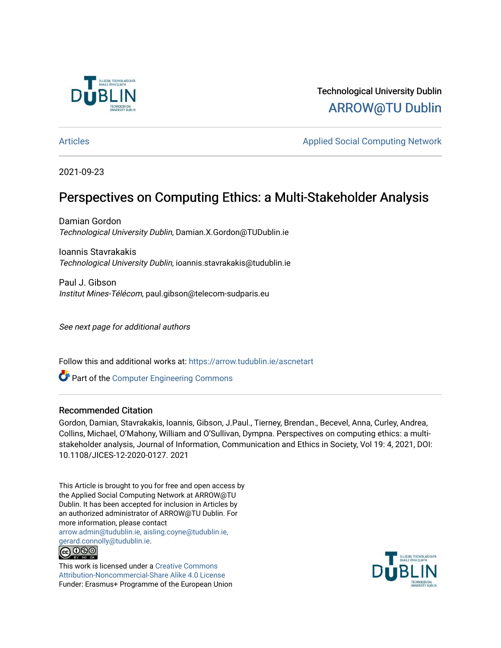

Technological University Dublin [ARROW@TU Dublin](https://arrow.tudublin.ie/) 

[Articles](https://arrow.tudublin.ie/ascnetart) **Applied Social Computing Network** Applied Social Computing Network

2021-09-23

# Perspectives on Computing Ethics: a Multi-Stakeholder Analysis

Damian Gordon Technological University Dublin, Damian.X.Gordon@TUDublin.ie

Ioannis Stavrakakis Technological University Dublin, ioannis.stavrakakis@tudublin.ie

Paul J. Gibson Institut Mines-Télécom, paul.gibson@telecom-sudparis.eu

See next page for additional authors

Follow this and additional works at: [https://arrow.tudublin.ie/ascnetart](https://arrow.tudublin.ie/ascnetart?utm_source=arrow.tudublin.ie%2Fascnetart%2F1&utm_medium=PDF&utm_campaign=PDFCoverPages)

Part of the [Computer Engineering Commons](http://network.bepress.com/hgg/discipline/258?utm_source=arrow.tudublin.ie%2Fascnetart%2F1&utm_medium=PDF&utm_campaign=PDFCoverPages) 

#### Recommended Citation

Gordon, Damian, Stavrakakis, Ioannis, Gibson, J.Paul., Tierney, Brendan., Becevel, Anna, Curley, Andrea, Collins, Michael, O'Mahony, William and O'Sullivan, Dympna. Perspectives on computing ethics: a multistakeholder analysis, Journal of Information, Communication and Ethics in Society, Vol 19: 4, 2021, DOI: 10.1108/JICES-12-2020-0127. 2021

This Article is brought to you for free and open access by the Applied Social Computing Network at ARROW@TU Dublin. It has been accepted for inclusion in Articles by an authorized administrator of ARROW@TU Dublin. For more information, please contact [arrow.admin@tudublin.ie, aisling.coyne@tudublin.ie,](mailto:arrow.admin@tudublin.ie,%20aisling.coyne@tudublin.ie,%20gerard.connolly@tudublin.ie)  [gerard.connolly@tudublin.ie](mailto:arrow.admin@tudublin.ie,%20aisling.coyne@tudublin.ie,%20gerard.connolly@tudublin.ie). 

This work is licensed under a [Creative Commons](http://creativecommons.org/licenses/by-nc-sa/4.0/) [Attribution-Noncommercial-Share Alike 4.0 License](http://creativecommons.org/licenses/by-nc-sa/4.0/) Funder: Erasmus+ Programme of the European Union

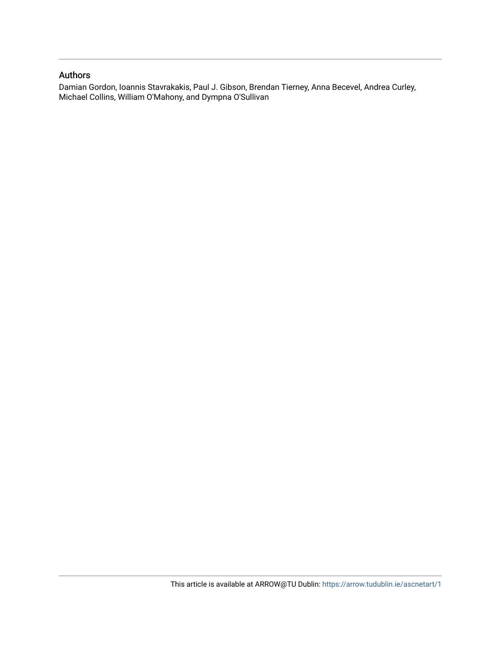#### Authors

Damian Gordon, Ioannis Stavrakakis, Paul J. Gibson, Brendan Tierney, Anna Becevel, Andrea Curley, Michael Collins, William O'Mahony, and Dympna O'Sullivan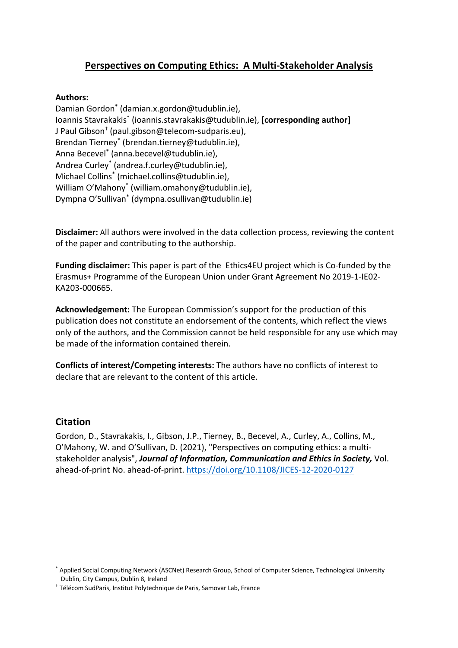# **Perspectives on Computing Ethics: A Multi-Stakeholder Analysis**

### **Authors:**

Damian Gordon\* (damian.x.gordon@tudublin.ie), Ioannis Stavrakakis\* (ioannis.stavrakakis@tudublin.ie), **[corresponding author]** J Paul Gibson† (paul.gibson@telecom-sudparis.eu), Brendan Tierney\* (brendan.tierney@tudublin.ie), Anna Becevel<sup>\*</sup> (anna.becevel@tudublin.ie), Andrea Curley\* (andrea.f.curley@tudublin.ie), Michael Collins\* (michael.collins@tudublin.ie), William O'Mahony\* (william.omahony@tudublin.ie), Dympna O'Sullivan\* (dympna.osullivan@tudublin.ie)

**Disclaimer:** All authors were involved in the data collection process, reviewing the content of the paper and contributing to the authorship.

**Funding disclaimer:** This paper is part of the Ethics4EU project which is Co-funded by the Erasmus+ Programme of the European Union under Grant Agreement No 2019-1-IE02- KA203-000665.

**Acknowledgement:** The European Commission's support for the production of this publication does not constitute an endorsement of the contents, which reflect the views only of the authors, and the Commission cannot be held responsible for any use which may be made of the information contained therein.

**Conflicts of interest/Competing interests:** The authors have no conflicts of interest to declare that are relevant to the content of this article.

# **Citation**

Gordon, D., Stavrakakis, I., Gibson, J.P., Tierney, B., Becevel, A., Curley, A., Collins, M., O'Mahony, W. and O'Sullivan, D. (2021), "Perspectives on computing ethics: a multistakeholder analysis", *Journal of Information, Communication and Ethics in Society,* Vol. ahead-of-print No. ahead-of-print. https://doi.org/10.1108/JICES-12-2020-0127

Applied Social Computing Network (ASCNet) Research Group, School of Computer Science, Technological University Dublin, City Campus, Dublin 8, Ireland

<sup>†</sup> Télécom SudParis, Institut Polytechnique de Paris, Samovar Lab, France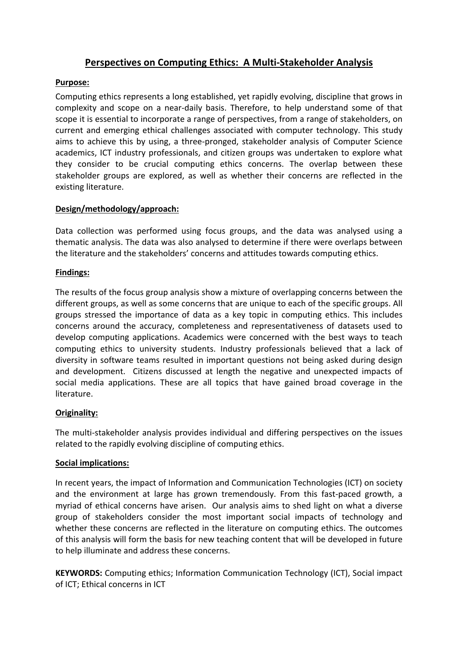# **Perspectives on Computing Ethics: A Multi-Stakeholder Analysis**

### **Purpose:**

Computing ethics represents a long established, yet rapidly evolving, discipline that grows in complexity and scope on a near-daily basis. Therefore, to help understand some of that scope it is essential to incorporate a range of perspectives, from a range of stakeholders, on current and emerging ethical challenges associated with computer technology. This study aims to achieve this by using, a three-pronged, stakeholder analysis of Computer Science academics, ICT industry professionals, and citizen groups was undertaken to explore what they consider to be crucial computing ethics concerns. The overlap between these stakeholder groups are explored, as well as whether their concerns are reflected in the existing literature.

# **Design/methodology/approach:**

Data collection was performed using focus groups, and the data was analysed using a thematic analysis. The data was also analysed to determine if there were overlaps between the literature and the stakeholders' concerns and attitudes towards computing ethics.

### **Findings:**

The results of the focus group analysis show a mixture of overlapping concerns between the different groups, as well as some concerns that are unique to each of the specific groups. All groups stressed the importance of data as a key topic in computing ethics. This includes concerns around the accuracy, completeness and representativeness of datasets used to develop computing applications. Academics were concerned with the best ways to teach computing ethics to university students. Industry professionals believed that a lack of diversity in software teams resulted in important questions not being asked during design and development. Citizens discussed at length the negative and unexpected impacts of social media applications. These are all topics that have gained broad coverage in the literature.

# **Originality:**

The multi-stakeholder analysis provides individual and differing perspectives on the issues related to the rapidly evolving discipline of computing ethics.

#### **Social implications:**

In recent years, the impact of Information and Communication Technologies (ICT) on society and the environment at large has grown tremendously. From this fast-paced growth, a myriad of ethical concerns have arisen. Our analysis aims to shed light on what a diverse group of stakeholders consider the most important social impacts of technology and whether these concerns are reflected in the literature on computing ethics. The outcomes of this analysis will form the basis for new teaching content that will be developed in future to help illuminate and address these concerns.

**KEYWORDS:** Computing ethics; Information Communication Technology (ICT), Social impact of ICT; Ethical concerns in ICT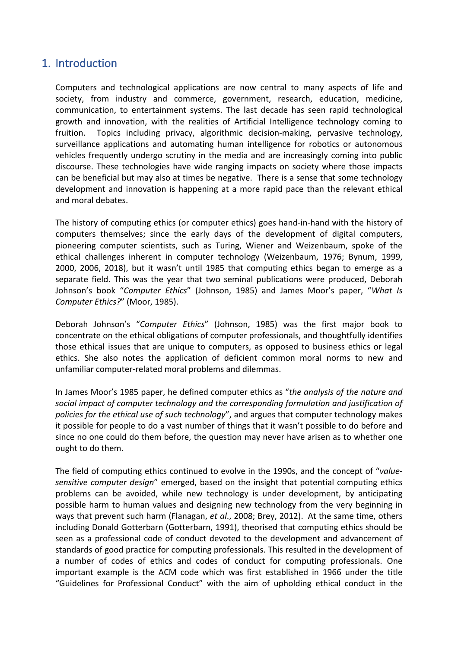# 1. Introduction

Computers and technological applications are now central to many aspects of life and society, from industry and commerce, government, research, education, medicine, communication, to entertainment systems. The last decade has seen rapid technological growth and innovation, with the realities of Artificial Intelligence technology coming to fruition. Topics including privacy, algorithmic decision-making, pervasive technology, surveillance applications and automating human intelligence for robotics or autonomous vehicles frequently undergo scrutiny in the media and are increasingly coming into public discourse. These technologies have wide ranging impacts on society where those impacts can be beneficial but may also at times be negative. There is a sense that some technology development and innovation is happening at a more rapid pace than the relevant ethical and moral debates.

The history of computing ethics (or computer ethics) goes hand-in-hand with the history of computers themselves; since the early days of the development of digital computers, pioneering computer scientists, such as Turing, Wiener and Weizenbaum, spoke of the ethical challenges inherent in computer technology (Weizenbaum, 1976; Bynum, 1999, 2000, 2006, 2018), but it wasn't until 1985 that computing ethics began to emerge as a separate field. This was the year that two seminal publications were produced, Deborah Johnson's book "*Computer Ethics*" (Johnson, 1985) and James Moor's paper, "*What Is Computer Ethics?*" (Moor, 1985).

Deborah Johnson's "*Computer Ethics*" (Johnson, 1985) was the first major book to concentrate on the ethical obligations of computer professionals, and thoughtfully identifies those ethical issues that are unique to computers, as opposed to business ethics or legal ethics. She also notes the application of deficient common moral norms to new and unfamiliar computer-related moral problems and dilemmas.

In James Moor's 1985 paper, he defined computer ethics as "*the analysis of the nature and social impact of computer technology and the corresponding formulation and justification of policies for the ethical use of such technology*", and argues that computer technology makes it possible for people to do a vast number of things that it wasn't possible to do before and since no one could do them before, the question may never have arisen as to whether one ought to do them.

The field of computing ethics continued to evolve in the 1990s, and the concept of "*valuesensitive computer design*" emerged, based on the insight that potential computing ethics problems can be avoided, while new technology is under development, by anticipating possible harm to human values and designing new technology from the very beginning in ways that prevent such harm (Flanagan, *et al*., 2008; Brey, 2012). At the same time, others including Donald Gotterbarn (Gotterbarn, 1991), theorised that computing ethics should be seen as a professional code of conduct devoted to the development and advancement of standards of good practice for computing professionals. This resulted in the development of a number of codes of ethics and codes of conduct for computing professionals. One important example is the ACM code which was first established in 1966 under the title "Guidelines for Professional Conduct" with the aim of upholding ethical conduct in the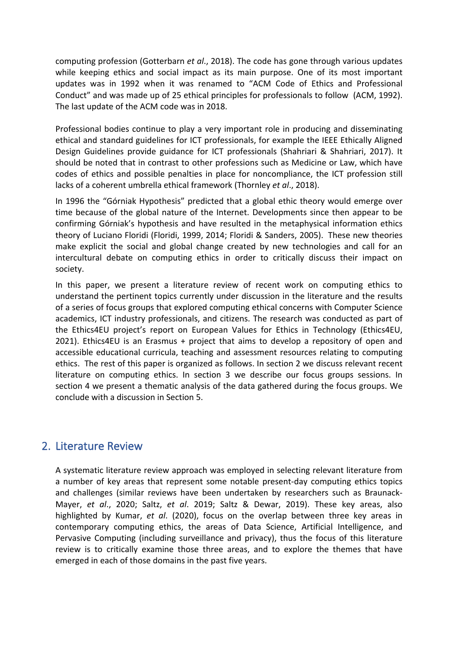computing profession (Gotterbarn *et al*., 2018). The code has gone through various updates while keeping ethics and social impact as its main purpose. One of its most important updates was in 1992 when it was renamed to "ACM Code of Ethics and Professional Conduct" and was made up of 25 ethical principles for professionals to follow (ACM, 1992). The last update of the ACM code was in 2018.

Professional bodies continue to play a very important role in producing and disseminating ethical and standard guidelines for ICT professionals, for example the IEEE Ethically Aligned Design Guidelines provide guidance for ICT professionals (Shahriari & Shahriari, 2017). It should be noted that in contrast to other professions such as Medicine or Law, which have codes of ethics and possible penalties in place for noncompliance, the ICT profession still lacks of a coherent umbrella ethical framework (Thornley *et al*., 2018).

In 1996 the "Górniak Hypothesis" predicted that a global ethic theory would emerge over time because of the global nature of the Internet. Developments since then appear to be confirming Górniak's hypothesis and have resulted in the metaphysical information ethics theory of Luciano Floridi (Floridi, 1999, 2014; Floridi & Sanders, 2005). These new theories make explicit the social and global change created by new technologies and call for an intercultural debate on computing ethics in order to critically discuss their impact on society.

In this paper, we present a literature review of recent work on computing ethics to understand the pertinent topics currently under discussion in the literature and the results of a series of focus groups that explored computing ethical concerns with Computer Science academics, ICT industry professionals, and citizens. The research was conducted as part of the Ethics4EU project's report on European Values for Ethics in Technology (Ethics4EU, 2021). Ethics4EU is an Erasmus + project that aims to develop a repository of open and accessible educational curricula, teaching and assessment resources relating to computing ethics. The rest of this paper is organized as follows. In section 2 we discuss relevant recent literature on computing ethics. In section 3 we describe our focus groups sessions. In section 4 we present a thematic analysis of the data gathered during the focus groups. We conclude with a discussion in Section 5.

# 2. Literature Review

A systematic literature review approach was employed in selecting relevant literature from a number of key areas that represent some notable present-day computing ethics topics and challenges (similar reviews have been undertaken by researchers such as Braunack-Mayer, *et al*., 2020; Saltz, *et al*. 2019; Saltz & Dewar, 2019). These key areas, also highlighted by Kumar, *et al*. (2020), focus on the overlap between three key areas in contemporary computing ethics, the areas of Data Science, Artificial Intelligence, and Pervasive Computing (including surveillance and privacy), thus the focus of this literature review is to critically examine those three areas, and to explore the themes that have emerged in each of those domains in the past five years.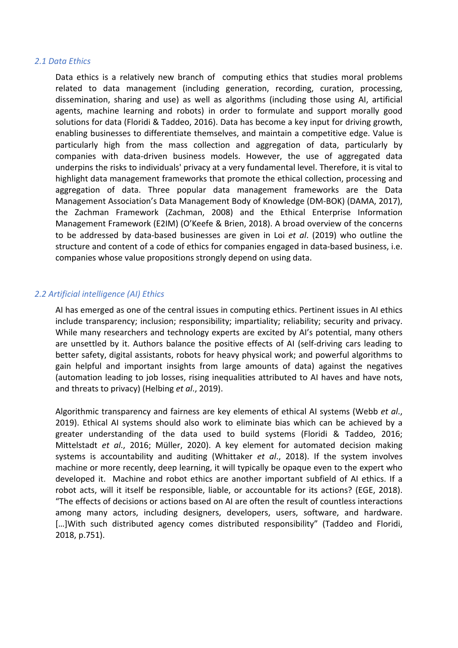#### *2.1 Data Ethics*

Data ethics is a relatively new branch of computing ethics that studies moral problems related to data management (including generation, recording, curation, processing, dissemination, sharing and use) as well as algorithms (including those using AI, artificial agents, machine learning and robots) in order to formulate and support morally good solutions for data (Floridi & Taddeo, 2016). Data has become a key input for driving growth, enabling businesses to differentiate themselves, and maintain a competitive edge. Value is particularly high from the mass collection and aggregation of data, particularly by companies with data-driven business models. However, the use of aggregated data underpins the risks to individuals' privacy at a very fundamental level. Therefore, it is vital to highlight data management frameworks that promote the ethical collection, processing and aggregation of data. Three popular data management frameworks are the Data Management Association's Data Management Body of Knowledge (DM-BOK) (DAMA, 2017), the Zachman Framework (Zachman, 2008) and the Ethical Enterprise Information Management Framework (E2IM) (O'Keefe & Brien, 2018). A broad overview of the concerns to be addressed by data-based businesses are given in Loi *et al*. (2019) who outline the structure and content of a code of ethics for companies engaged in data-based business, i.e. companies whose value propositions strongly depend on using data.

### *2.2 Artificial intelligence (AI) Ethics*

AI has emerged as one of the central issues in computing ethics. Pertinent issues in AI ethics include transparency; inclusion; responsibility; impartiality; reliability; security and privacy. While many researchers and technology experts are excited by AI's potential, many others are unsettled by it. Authors balance the positive effects of AI (self-driving cars leading to better safety, digital assistants, robots for heavy physical work; and powerful algorithms to gain helpful and important insights from large amounts of data) against the negatives (automation leading to job losses, rising inequalities attributed to AI haves and have nots, and threats to privacy) (Helbing *et al*., 2019).

Algorithmic transparency and fairness are key elements of ethical AI systems (Webb *et al*., 2019). Ethical AI systems should also work to eliminate bias which can be achieved by a greater understanding of the data used to build systems (Floridi & Taddeo, 2016; Mittelstadt *et al*., 2016; Müller, 2020). A key element for automated decision making systems is accountability and auditing (Whittaker *et al*., 2018). If the system involves machine or more recently, deep learning, it will typically be opaque even to the expert who developed it. Machine and robot ethics are another important subfield of AI ethics. If a robot acts, will it itself be responsible, liable, or accountable for its actions? (EGE, 2018). "The effects of decisions or actions based on AI are often the result of countless interactions among many actors, including designers, developers, users, software, and hardware. [...] With such distributed agency comes distributed responsibility" (Taddeo and Floridi, 2018, p.751).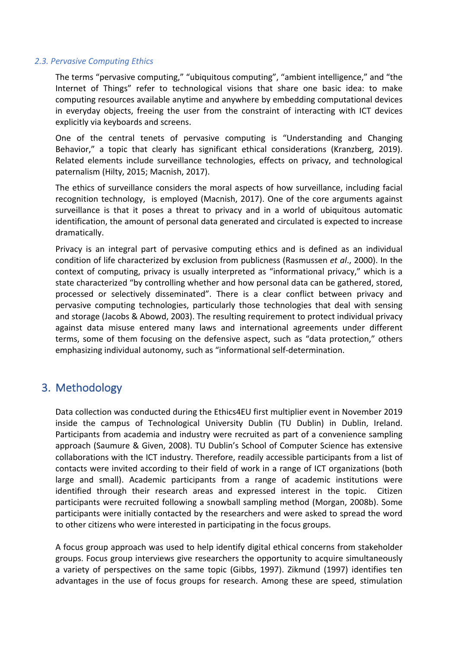#### *2.3. Pervasive Computing Ethics*

The terms "pervasive computing," "ubiquitous computing", "ambient intelligence," and "the Internet of Things" refer to technological visions that share one basic idea: to make computing resources available anytime and anywhere by embedding computational devices in everyday objects, freeing the user from the constraint of interacting with ICT devices explicitly via keyboards and screens.

One of the central tenets of pervasive computing is "Understanding and Changing Behavior," a topic that clearly has significant ethical considerations (Kranzberg, 2019). Related elements include surveillance technologies, effects on privacy, and technological paternalism (Hilty, 2015; Macnish, 2017).

The ethics of surveillance considers the moral aspects of how surveillance, including facial recognition technology, is employed (Macnish, 2017). One of the core arguments against surveillance is that it poses a threat to privacy and in a world of ubiquitous automatic identification, the amount of personal data generated and circulated is expected to increase dramatically.

Privacy is an integral part of pervasive computing ethics and is defined as an individual condition of life characterized by exclusion from publicness (Rasmussen *et al*., 2000). In the context of computing, privacy is usually interpreted as "informational privacy," which is a state characterized "by controlling whether and how personal data can be gathered, stored, processed or selectively disseminated". There is a clear conflict between privacy and pervasive computing technologies, particularly those technologies that deal with sensing and storage (Jacobs & Abowd, 2003). The resulting requirement to protect individual privacy against data misuse entered many laws and international agreements under different terms, some of them focusing on the defensive aspect, such as "data protection," others emphasizing individual autonomy, such as "informational self-determination.

# 3. Methodology

Data collection was conducted during the Ethics4EU first multiplier event in November 2019 inside the campus of Technological University Dublin (TU Dublin) in Dublin, Ireland. Participants from academia and industry were recruited as part of a convenience sampling approach (Saumure & Given, 2008). TU Dublin's School of Computer Science has extensive collaborations with the ICT industry. Therefore, readily accessible participants from a list of contacts were invited according to their field of work in a range of ICT organizations (both large and small). Academic participants from a range of academic institutions were identified through their research areas and expressed interest in the topic. Citizen participants were recruited following a snowball sampling method (Morgan, 2008b). Some participants were initially contacted by the researchers and were asked to spread the word to other citizens who were interested in participating in the focus groups.

A focus group approach was used to help identify digital ethical concerns from stakeholder groups. Focus group interviews give researchers the opportunity to acquire simultaneously a variety of perspectives on the same topic (Gibbs, 1997). Zikmund (1997) identifies ten advantages in the use of focus groups for research. Among these are speed, stimulation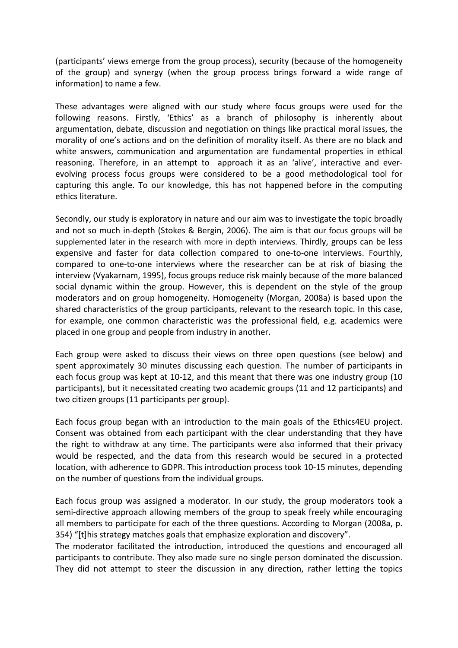(participants' views emerge from the group process), security (because of the homogeneity of the group) and synergy (when the group process brings forward a wide range of information) to name a few.

These advantages were aligned with our study where focus groups were used for the following reasons. Firstly, 'Ethics' as a branch of philosophy is inherently about argumentation, debate, discussion and negotiation on things like practical moral issues, the morality of one's actions and on the definition of morality itself. As there are no black and white answers, communication and argumentation are fundamental properties in ethical reasoning. Therefore, in an attempt to approach it as an 'alive', interactive and everevolving process focus groups were considered to be a good methodological tool for capturing this angle. To our knowledge, this has not happened before in the computing ethics literature.

Secondly, our study is exploratory in nature and our aim was to investigate the topic broadly and not so much in-depth (Stokes & Bergin, 2006). The aim is that our focus groups will be supplemented later in the research with more in depth interviews. Thirdly, groups can be less expensive and faster for data collection compared to one-to-one interviews. Fourthly, compared to one-to-one interviews where the researcher can be at risk of biasing the interview (Vyakarnam, 1995), focus groups reduce risk mainly because of the more balanced social dynamic within the group. However, this is dependent on the style of the group moderators and on group homogeneity. Homogeneity (Morgan, 2008a) is based upon the shared characteristics of the group participants, relevant to the research topic. In this case, for example, one common characteristic was the professional field, e.g. academics were placed in one group and people from industry in another.

Each group were asked to discuss their views on three open questions (see below) and spent approximately 30 minutes discussing each question. The number of participants in each focus group was kept at 10-12, and this meant that there was one industry group (10 participants), but it necessitated creating two academic groups (11 and 12 participants) and two citizen groups (11 participants per group).

Each focus group began with an introduction to the main goals of the Ethics4EU project. Consent was obtained from each participant with the clear understanding that they have the right to withdraw at any time. The participants were also informed that their privacy would be respected, and the data from this research would be secured in a protected location, with adherence to GDPR. This introduction process took 10-15 minutes, depending on the number of questions from the individual groups.

Each focus group was assigned a moderator. In our study, the group moderators took a semi-directive approach allowing members of the group to speak freely while encouraging all members to participate for each of the three questions. According to Morgan (2008a, p. 354) "[t]his strategy matches goals that emphasize exploration and discovery".

The moderator facilitated the introduction, introduced the questions and encouraged all participants to contribute. They also made sure no single person dominated the discussion. They did not attempt to steer the discussion in any direction, rather letting the topics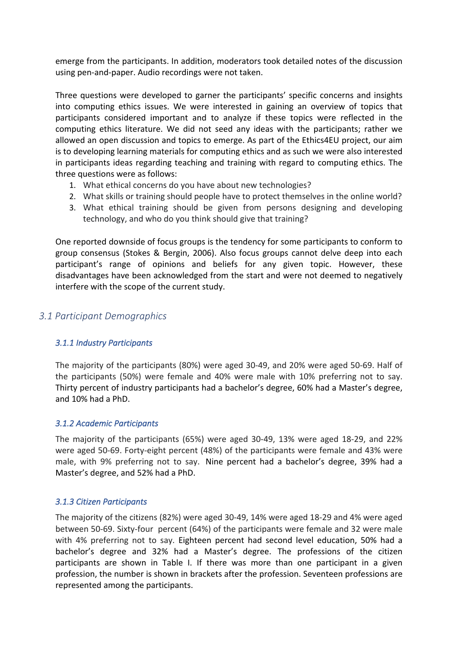emerge from the participants. In addition, moderators took detailed notes of the discussion using pen-and-paper. Audio recordings were not taken.

Three questions were developed to garner the participants' specific concerns and insights into computing ethics issues. We were interested in gaining an overview of topics that participants considered important and to analyze if these topics were reflected in the computing ethics literature. We did not seed any ideas with the participants; rather we allowed an open discussion and topics to emerge. As part of the Ethics4EU project, our aim is to developing learning materials for computing ethics and as such we were also interested in participants ideas regarding teaching and training with regard to computing ethics. The three questions were as follows:

- 1. What ethical concerns do you have about new technologies?
- 2. What skills or training should people have to protect themselves in the online world?
- 3. What ethical training should be given from persons designing and developing technology, and who do you think should give that training?

One reported downside of focus groups is the tendency for some participants to conform to group consensus (Stokes & Bergin, 2006). Also focus groups cannot delve deep into each participant's range of opinions and beliefs for any given topic. However, these disadvantages have been acknowledged from the start and were not deemed to negatively interfere with the scope of the current study.

# *3.1 Participant Demographics*

#### *3.1.1 Industry Participants*

The majority of the participants (80%) were aged 30-49, and 20% were aged 50-69. Half of the participants (50%) were female and 40% were male with 10% preferring not to say. Thirty percent of industry participants had a bachelor's degree, 60% had a Master's degree, and 10% had a PhD.

#### *3.1.2 Academic Participants*

The majority of the participants (65%) were aged 30-49, 13% were aged 18-29, and 22% were aged 50-69. Forty-eight percent (48%) of the participants were female and 43% were male, with 9% preferring not to say. Nine percent had a bachelor's degree, 39% had a Master's degree, and 52% had a PhD.

#### *3.1.3 Citizen Participants*

The majority of the citizens (82%) were aged 30-49, 14% were aged 18-29 and 4% were aged between 50-69. Sixty-four percent (64%) of the participants were female and 32 were male with 4% preferring not to say. Eighteen percent had second level education, 50% had a bachelor's degree and 32% had a Master's degree. The professions of the citizen participants are shown in Table I. If there was more than one participant in a given profession, the number is shown in brackets after the profession. Seventeen professions are represented among the participants.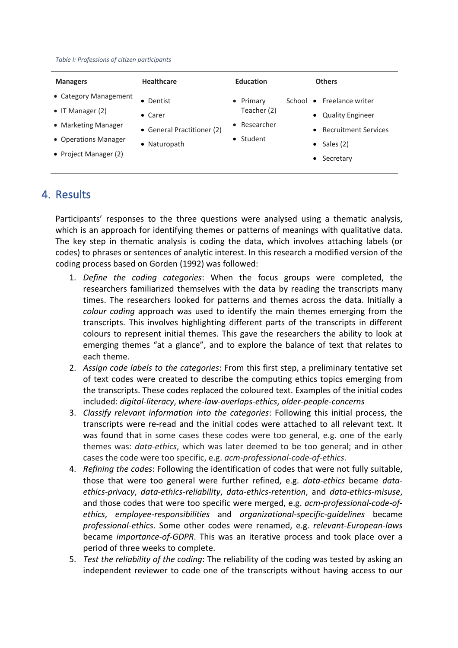*Table I: Professions of citizen participants*

| <b>Managers</b>                             | <b>Healthcare</b>                                                                  | <b>Education</b>         | <b>Others</b>                                                  |
|---------------------------------------------|------------------------------------------------------------------------------------|--------------------------|----------------------------------------------------------------|
| • Category Management<br>• IT Manager $(2)$ | • Dentist                                                                          | • Primary<br>Teacher (2) | School • Freelance writer                                      |
| • Marketing Manager<br>• Operations Manager | $\bullet$ Carer<br>• General Practitioner (2)<br>$\bullet$ Student<br>• Naturopath | • Researcher             | <b>Quality Engineer</b><br>$\bullet$<br>• Recruitment Services |
| • Project Manager (2)                       |                                                                                    |                          | Sales (2)<br>$\bullet$<br>Secretary<br>$\bullet$               |

# 4. Results

Participants' responses to the three questions were analysed using a thematic analysis, which is an approach for identifying themes or patterns of meanings with qualitative data. The key step in thematic analysis is coding the data, which involves attaching labels (or codes) to phrases or sentences of analytic interest. In this research a modified version of the coding process based on Gorden (1992) was followed:

- 1. *Define the coding categories*: When the focus groups were completed, the researchers familiarized themselves with the data by reading the transcripts many times. The researchers looked for patterns and themes across the data. Initially a *colour coding* approach was used to identify the main themes emerging from the transcripts. This involves highlighting different parts of the transcripts in different colours to represent initial themes. This gave the researchers the ability to look at emerging themes "at a glance", and to explore the balance of text that relates to each theme.
- 2. *Assign code labels to the categories*: From this first step, a preliminary tentative set of text codes were created to describe the computing ethics topics emerging from the transcripts. These codes replaced the coloured text. Examples of the initial codes included: *digital-literacy*, *where-law-overlaps-ethics*, *older-people-concerns*
- 3. *Classify relevant information into the categories*: Following this initial process, the transcripts were re-read and the initial codes were attached to all relevant text. It was found that in some cases these codes were too general, e.g. one of the early themes was: *data-ethics*, which was later deemed to be too general; and in other cases the code were too specific, e.g. *acm-professional-code-of-ethics*.
- 4. *Refining the codes*: Following the identification of codes that were not fully suitable, those that were too general were further refined, e.g. *data-ethics* became *dataethics-privacy*, *data-ethics-reliability*, *data-ethics-retention*, and *data-ethics-misuse*, and those codes that were too specific were merged, e.g. *acm-professional-code-ofethics*, *employee-responsibilities* and *organizational-specific-guidelines* became *professional-ethics*. Some other codes were renamed, e.g. *relevant-European-laws* became *importance-of-GDPR*. This was an iterative process and took place over a period of three weeks to complete.
- 5. *Test the reliability of the coding*: The reliability of the coding was tested by asking an independent reviewer to code one of the transcripts without having access to our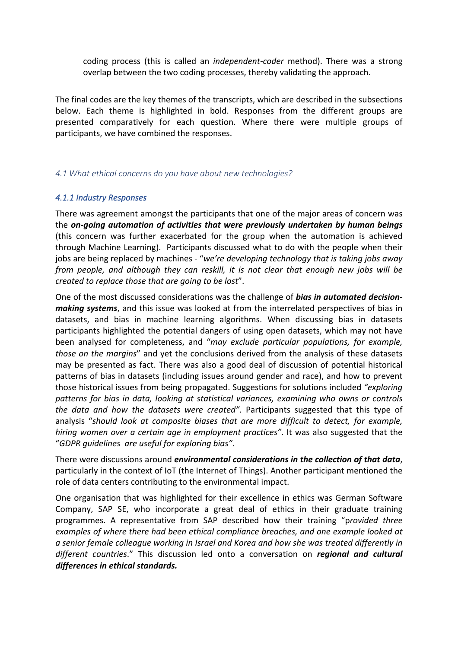coding process (this is called an *independent-coder* method). There was a strong overlap between the two coding processes, thereby validating the approach.

The final codes are the key themes of the transcripts, which are described in the subsections below. Each theme is highlighted in bold. Responses from the different groups are presented comparatively for each question. Where there were multiple groups of participants, we have combined the responses.

#### *4.1 What ethical concerns do you have about new technologies?*

#### *4.1.1 Industry Responses*

There was agreement amongst the participants that one of the major areas of concern was the *on-going automation of activities that were previously undertaken by human beings* (this concern was further exacerbated for the group when the automation is achieved through Machine Learning). Participants discussed what to do with the people when their jobs are being replaced by machines - "*we're developing technology that is taking jobs away from people, and although they can reskill, it is not clear that enough new jobs will be created to replace those that are going to be lost*".

One of the most discussed considerations was the challenge of *bias in automated decisionmaking systems*, and this issue was looked at from the interrelated perspectives of bias in datasets, and bias in machine learning algorithms. When discussing bias in datasets participants highlighted the potential dangers of using open datasets, which may not have been analysed for completeness, and "*may exclude particular populations, for example, those on the margins*" and yet the conclusions derived from the analysis of these datasets may be presented as fact. There was also a good deal of discussion of potential historical patterns of bias in datasets (including issues around gender and race), and how to prevent those historical issues from being propagated. Suggestions for solutions included *"exploring patterns for bias in data, looking at statistical variances, examining who owns or controls the data and how the datasets were created"*. Participants suggested that this type of analysis "*should look at composite biases that are more difficult to detect, for example, hiring women over a certain age in employment practices"*. It was also suggested that the "*GDPR guidelines are useful for exploring bias"*.

There were discussions around *environmental considerations in the collection of that data*, particularly in the context of IoT (the Internet of Things). Another participant mentioned the role of data centers contributing to the environmental impact.

One organisation that was highlighted for their excellence in ethics was German Software Company, SAP SE, who incorporate a great deal of ethics in their graduate training programmes. A representative from SAP described how their training "p*rovided three examples of where there had been ethical compliance breaches, and one example looked at a senior female colleague working in Israel and Korea and how she was treated differently in different countries*." This discussion led onto a conversation on *regional and cultural differences in ethical standards.*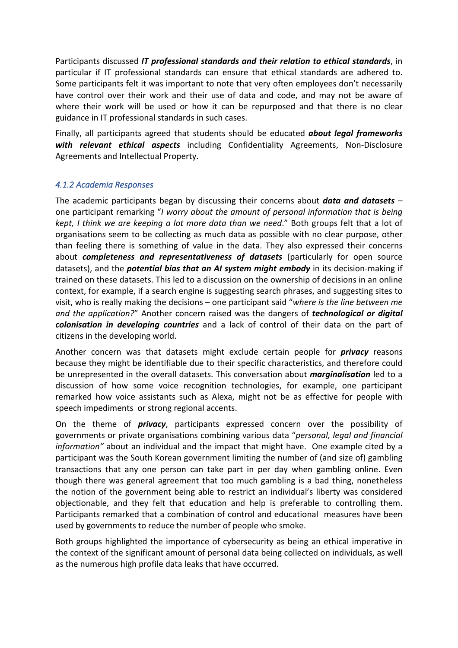Participants discussed *IT professional standards and their relation to ethical standards*, in particular if IT professional standards can ensure that ethical standards are adhered to. Some participants felt it was important to note that very often employees don't necessarily have control over their work and their use of data and code, and may not be aware of where their work will be used or how it can be repurposed and that there is no clear guidance in IT professional standards in such cases.

Finally, all participants agreed that students should be educated *about legal frameworks with relevant ethical aspects* including Confidentiality Agreements, Non-Disclosure Agreements and Intellectual Property.

# *4.1.2 Academia Responses*

The academic participants began by discussing their concerns about *data and datasets* – one participant remarking "*I worry about the amount of personal information that is being kept, I think we are keeping a lot more data than we need*." Both groups felt that a lot of organisations seem to be collecting as much data as possible with no clear purpose, other than feeling there is something of value in the data. They also expressed their concerns about *completeness and representativeness of datasets* (particularly for open source datasets), and the *potential bias that an AI system might embody* in its decision-making if trained on these datasets. This led to a discussion on the ownership of decisions in an online context, for example, if a search engine is suggesting search phrases, and suggesting sites to visit, who is really making the decisions – one participant said "*where is the line between me and the application?*" Another concern raised was the dangers of *technological or digital colonisation in developing countries* and a lack of control of their data on the part of citizens in the developing world.

Another concern was that datasets might exclude certain people for *privacy* reasons because they might be identifiable due to their specific characteristics, and therefore could be unrepresented in the overall datasets. This conversation about *marginalisation* led to a discussion of how some voice recognition technologies, for example, one participant remarked how voice assistants such as Alexa, might not be as effective for people with speech impediments or strong regional accents.

On the theme of *privacy*, participants expressed concern over the possibility of governments or private organisations combining various data "*personal, legal and financial information"* about an individual and the impact that might have. One example cited by a participant was the South Korean government limiting the number of (and size of) gambling transactions that any one person can take part in per day when gambling online. Even though there was general agreement that too much gambling is a bad thing, nonetheless the notion of the government being able to restrict an individual's liberty was considered objectionable, and they felt that education and help is preferable to controlling them. Participants remarked that a combination of control and educational measures have been used by governments to reduce the number of people who smoke.

Both groups highlighted the importance of cybersecurity as being an ethical imperative in the context of the significant amount of personal data being collected on individuals, as well as the numerous high profile data leaks that have occurred.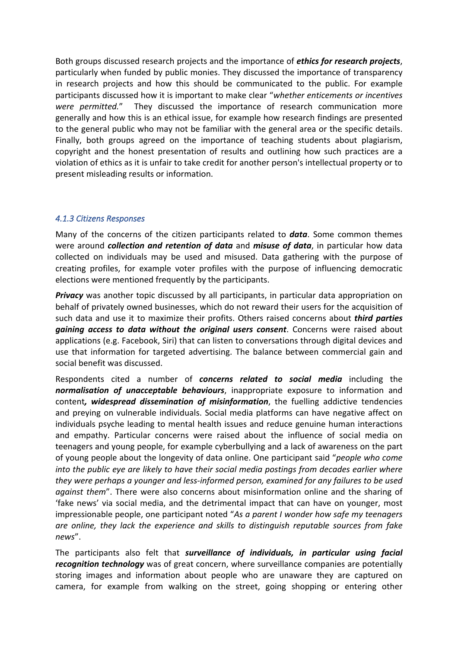Both groups discussed research projects and the importance of *ethics for research projects*, particularly when funded by public monies. They discussed the importance of transparency in research projects and how this should be communicated to the public. For example participants discussed how it is important to make clear "*whether enticements or incentives were permitted.*" They discussed the importance of research communication more generally and how this is an ethical issue, for example how research findings are presented to the general public who may not be familiar with the general area or the specific details. Finally, both groups agreed on the importance of teaching students about plagiarism, copyright and the honest presentation of results and outlining how such practices are a violation of ethics as it is unfair to take credit for another person's intellectual property or to present misleading results or information.

# *4.1.3 Citizens Responses*

Many of the concerns of the citizen participants related to *data*. Some common themes were around *collection and retention of data* and *misuse of data*, in particular how data collected on individuals may be used and misused. Data gathering with the purpose of creating profiles, for example voter profiles with the purpose of influencing democratic elections were mentioned frequently by the participants.

*Privacy* was another topic discussed by all participants, in particular data appropriation on behalf of privately owned businesses, which do not reward their users for the acquisition of such data and use it to maximize their profits. Others raised concerns about *third parties gaining access to data without the original users consent*. Concerns were raised about applications (e.g. Facebook, Siri) that can listen to conversations through digital devices and use that information for targeted advertising. The balance between commercial gain and social benefit was discussed.

Respondents cited a number of *concerns related to social media* including the *normalisation of unacceptable behaviours*, inappropriate exposure to information and content*, widespread dissemination of misinformation*, the fuelling addictive tendencies and preying on vulnerable individuals. Social media platforms can have negative affect on individuals psyche leading to mental health issues and reduce genuine human interactions and empathy. Particular concerns were raised about the influence of social media on teenagers and young people, for example cyberbullying and a lack of awareness on the part of young people about the longevity of data online. One participant said "*people who come into the public eye are likely to have their social media postings from decades earlier where they were perhaps a younger and less-informed person, examined for any failures to be used against them*". There were also concerns about misinformation online and the sharing of 'fake news' via social media, and the detrimental impact that can have on younger, most impressionable people, one participant noted "*As a parent I wonder how safe my teenagers are online, they lack the experience and skills to distinguish reputable sources from fake news*".

The participants also felt that *surveillance of individuals, in particular using facial recognition technology* was of great concern, where surveillance companies are potentially storing images and information about people who are unaware they are captured on camera, for example from walking on the street, going shopping or entering other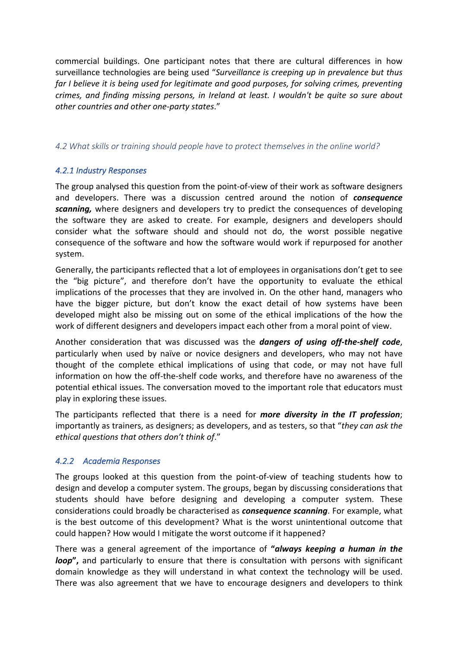commercial buildings. One participant notes that there are cultural differences in how surveillance technologies are being used "*Surveillance is creeping up in prevalence but thus far I believe it is being used for legitimate and good purposes, for solving crimes, preventing crimes, and finding missing persons, in Ireland at least. I wouldn't be quite so sure about other countries and other one-party states*."

#### *4.2 What skills or training should people have to protect themselves in the online world?*

# *4.2.1 Industry Responses*

The group analysed this question from the point-of-view of their work as software designers and developers. There was a discussion centred around the notion of *consequence scanning,* where designers and developers try to predict the consequences of developing the software they are asked to create. For example, designers and developers should consider what the software should and should not do, the worst possible negative consequence of the software and how the software would work if repurposed for another system.

Generally, the participants reflected that a lot of employees in organisations don't get to see the "big picture", and therefore don't have the opportunity to evaluate the ethical implications of the processes that they are involved in. On the other hand, managers who have the bigger picture, but don't know the exact detail of how systems have been developed might also be missing out on some of the ethical implications of the how the work of different designers and developers impact each other from a moral point of view.

Another consideration that was discussed was the *dangers of using off-the-shelf code*, particularly when used by naïve or novice designers and developers, who may not have thought of the complete ethical implications of using that code, or may not have full information on how the off-the-shelf code works, and therefore have no awareness of the potential ethical issues. The conversation moved to the important role that educators must play in exploring these issues.

The participants reflected that there is a need for *more diversity in the IT profession*; importantly as trainers, as designers; as developers, and as testers, so that "*they can ask the ethical questions that others don't think of*."

# *4.2.2 Academia Responses*

The groups looked at this question from the point-of-view of teaching students how to design and develop a computer system. The groups, began by discussing considerations that students should have before designing and developing a computer system. These considerations could broadly be characterised as *consequence scanning*. For example, what is the best outcome of this development? What is the worst unintentional outcome that could happen? How would I mitigate the worst outcome if it happened?

There was a general agreement of the importance of **"***always keeping a human in the loop***",** and particularly to ensure that there is consultation with persons with significant domain knowledge as they will understand in what context the technology will be used. There was also agreement that we have to encourage designers and developers to think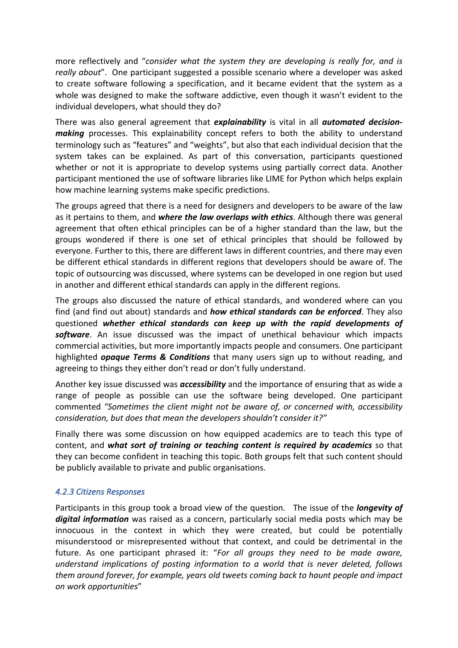more reflectively and "*consider what the system they are developing is really for, and is really about*". One participant suggested a possible scenario where a developer was asked to create software following a specification, and it became evident that the system as a whole was designed to make the software addictive, even though it wasn't evident to the individual developers, what should they do?

There was also general agreement that *explainability* is vital in all *automated decisionmaking* processes. This explainability concept refers to both the ability to understand terminology such as "features" and "weights", but also that each individual decision that the system takes can be explained. As part of this conversation, participants questioned whether or not it is appropriate to develop systems using partially correct data. Another participant mentioned the use of software libraries like LIME for Python which helps explain how machine learning systems make specific predictions.

The groups agreed that there is a need for designers and developers to be aware of the law as it pertains to them, and *where the law overlaps with ethics*. Although there was general agreement that often ethical principles can be of a higher standard than the law, but the groups wondered if there is one set of ethical principles that should be followed by everyone. Further to this, there are different laws in different countries, and there may even be different ethical standards in different regions that developers should be aware of. The topic of outsourcing was discussed, where systems can be developed in one region but used in another and different ethical standards can apply in the different regions.

The groups also discussed the nature of ethical standards, and wondered where can you find (and find out about) standards and *how ethical standards can be enforced*. They also questioned *whether ethical standards can keep up with the rapid developments of software*. An issue discussed was the impact of unethical behaviour which impacts commercial activities, but more importantly impacts people and consumers. One participant highlighted *opaque Terms & Conditions* that many users sign up to without reading, and agreeing to things they either don't read or don't fully understand.

Another key issue discussed was *accessibility* and the importance of ensuring that as wide a range of people as possible can use the software being developed. One participant commented *"Sometimes the client might not be aware of, or concerned with, accessibility consideration, but does that mean the developers shouldn't consider it?"*

Finally there was some discussion on how equipped academics are to teach this type of content, and *what sort of training or teaching content is required by academics* so that they can become confident in teaching this topic. Both groups felt that such content should be publicly available to private and public organisations.

#### *4.2.3 Citizens Responses*

Participants in this group took a broad view of the question. The issue of the *longevity of digital information* was raised as a concern, particularly social media posts which may be innocuous in the context in which they were created, but could be potentially misunderstood or misrepresented without that context, and could be detrimental in the future. As one participant phrased it: "*For all groups they need to be made aware, understand implications of posting information to a world that is never deleted, follows them around forever, for example, years old tweets coming back to haunt people and impact on work opportunities*"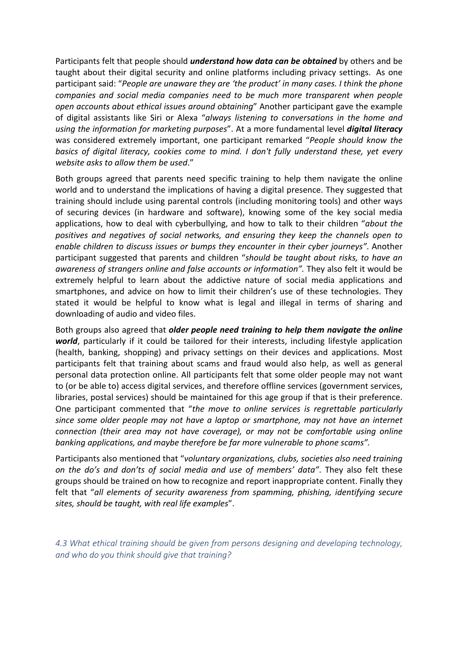Participants felt that people should *understand how data can be obtained* by others and be taught about their digital security and online platforms including privacy settings. As one participant said: "*People are unaware they are 'the product' in many cases. I think the phone companies and social media companies need to be much more transparent when people open accounts about ethical issues around obtaining*" Another participant gave the example of digital assistants like Siri or Alexa "*always listening to conversations in the home and using the information for marketing purposes*". At a more fundamental level *digital literacy* was considered extremely important, one participant remarked "*People should know the basics of digital literacy, cookies come to mind. I don't fully understand these, yet every website asks to allow them be used*."

Both groups agreed that parents need specific training to help them navigate the online world and to understand the implications of having a digital presence. They suggested that training should include using parental controls (including monitoring tools) and other ways of securing devices (in hardware and software), knowing some of the key social media applications, how to deal with cyberbullying, and how to talk to their children "*about the positives and negatives of social networks, and ensuring they keep the channels open to enable children to discuss issues or bumps they encounter in their cyber journeys"*. Another participant suggested that parents and children "*should be taught about risks, to have an awareness of strangers online and false accounts or information".* They also felt it would be extremely helpful to learn about the addictive nature of social media applications and smartphones, and advice on how to limit their children's use of these technologies. They stated it would be helpful to know what is legal and illegal in terms of sharing and downloading of audio and video files.

Both groups also agreed that *older people need training to help them navigate the online world*, particularly if it could be tailored for their interests, including lifestyle application (health, banking, shopping) and privacy settings on their devices and applications. Most participants felt that training about scams and fraud would also help, as well as general personal data protection online. All participants felt that some older people may not want to (or be able to) access digital services, and therefore offline services (government services, libraries, postal services) should be maintained for this age group if that is their preference. One participant commented that "*the move to online services is regrettable particularly since some older people may not have a laptop or smartphone, may not have an internet connection (their area may not have coverage), or may not be comfortable using online banking applications, and maybe therefore be far more vulnerable to phone scams".*

Participants also mentioned that "*voluntary organizations, clubs, societies also need training on the do's and don'ts of social media and use of members' data"*. They also felt these groups should be trained on how to recognize and report inappropriate content. Finally they felt that "*all elements of security awareness from spamming, phishing, identifying secure sites, should be taught, with real life examples*".

*4.3 What ethical training should be given from persons designing and developing technology, and who do you think should give that training?*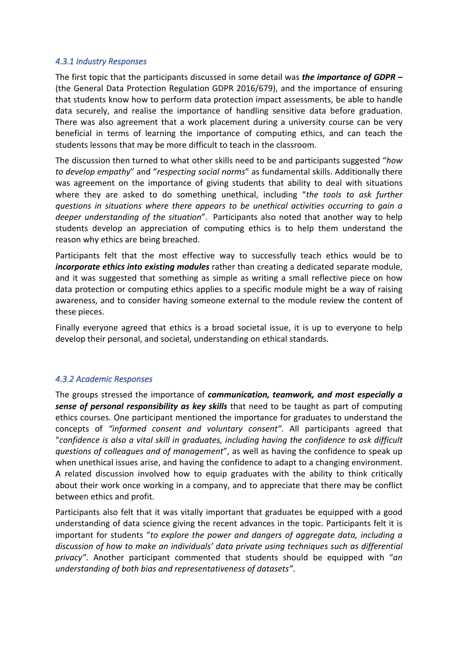#### *4.3.1 Industry Responses*

The first topic that the participants discussed in some detail was *the importance of GDPR –* (the General Data Protection Regulation GDPR 2016/679), and the importance of ensuring that students know how to perform data protection impact assessments, be able to handle data securely, and realise the importance of handling sensitive data before graduation. There was also agreement that a work placement during a university course can be very beneficial in terms of learning the importance of computing ethics, and can teach the students lessons that may be more difficult to teach in the classroom.

The discussion then turned to what other skills need to be and participants suggested "*how to develop empathy*" and "*respecting social norms*" as fundamental skills. Additionally there was agreement on the importance of giving students that ability to deal with situations where they are asked to do something unethical, including "*the tools to ask further questions in situations where there appears to be unethical activities occurring to gain a deeper understanding of the situation*". Participants also noted that another way to help students develop an appreciation of computing ethics is to help them understand the reason why ethics are being breached.

Participants felt that the most effective way to successfully teach ethics would be to *incorporate ethics into existing modules* rather than creating a dedicated separate module, and it was suggested that something as simple as writing a small reflective piece on how data protection or computing ethics applies to a specific module might be a way of raising awareness, and to consider having someone external to the module review the content of these pieces.

Finally everyone agreed that ethics is a broad societal issue, it is up to everyone to help develop their personal, and societal, understanding on ethical standards.

# *4.3.2 Academic Responses*

The groups stressed the importance of *communication, teamwork, and most especially a sense of personal responsibility as key skills* that need to be taught as part of computing ethics courses. One participant mentioned the importance for graduates to understand the concepts of *"informed consent and voluntary consent"*. All participants agreed that "*confidence is also a vital skill in graduates, including having the confidence to ask difficult questions of colleagues and of management*", as well as having the confidence to speak up when unethical issues arise, and having the confidence to adapt to a changing environment. A related discussion involved how to equip graduates with the ability to think critically about their work once working in a company, and to appreciate that there may be conflict between ethics and profit.

Participants also felt that it was vitally important that graduates be equipped with a good understanding of data science giving the recent advances in the topic. Participants felt it is important for students "*to explore the power and dangers of aggregate data, including a discussion of how to make an individuals' data private using techniques such as differential privacy"*. Another participant commented that students should be equipped with "*an understanding of both bias and representativeness of datasets"*.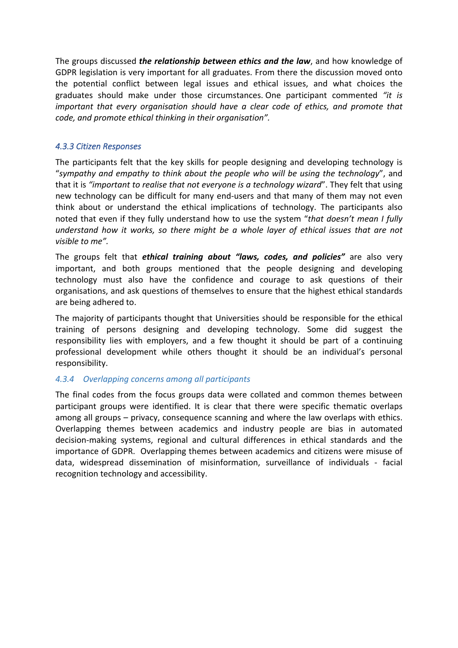The groups discussed *the relationship between ethics and the law*, and how knowledge of GDPR legislation is very important for all graduates. From there the discussion moved onto the potential conflict between legal issues and ethical issues, and what choices the graduates should make under those circumstances. One participant commented *"it is important that every organisation should have a clear code of ethics, and promote that code, and promote ethical thinking in their organisation".*

### *4.3.3 Citizen Responses*

The participants felt that the key skills for people designing and developing technology is "*sympathy and empathy to think about the people who will be using the technology*", and that it is *"important to realise that not everyone is a technology wizard*". They felt that using new technology can be difficult for many end-users and that many of them may not even think about or understand the ethical implications of technology. The participants also noted that even if they fully understand how to use the system "*that doesn't mean I fully understand how it works, so there might be a whole layer of ethical issues that are not visible to me".*

The groups felt that *ethical training about "laws, codes, and policies"* are also very important, and both groups mentioned that the people designing and developing technology must also have the confidence and courage to ask questions of their organisations, and ask questions of themselves to ensure that the highest ethical standards are being adhered to.

The majority of participants thought that Universities should be responsible for the ethical training of persons designing and developing technology. Some did suggest the responsibility lies with employers, and a few thought it should be part of a continuing professional development while others thought it should be an individual's personal responsibility.

#### *4.3.4 Overlapping concerns among all participants*

The final codes from the focus groups data were collated and common themes between participant groups were identified. It is clear that there were specific thematic overlaps among all groups – privacy, consequence scanning and where the law overlaps with ethics. Overlapping themes between academics and industry people are bias in automated decision-making systems, regional and cultural differences in ethical standards and the importance of GDPR. Overlapping themes between academics and citizens were misuse of data, widespread dissemination of misinformation, surveillance of individuals - facial recognition technology and accessibility.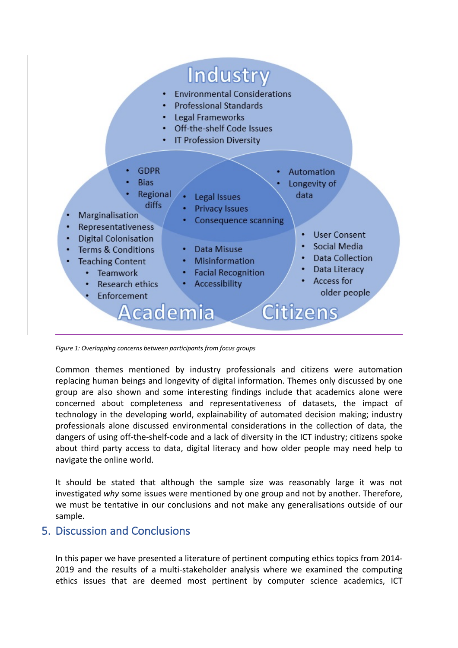

*Figure 1: Overlapping concerns between participants from focus groups*

Common themes mentioned by industry professionals and citizens were automation replacing human beings and longevity of digital information. Themes only discussed by one group are also shown and some interesting findings include that academics alone were concerned about completeness and representativeness of datasets, the impact of technology in the developing world, explainability of automated decision making; industry professionals alone discussed environmental considerations in the collection of data, the dangers of using off-the-shelf-code and a lack of diversity in the ICT industry; citizens spoke about third party access to data, digital literacy and how older people may need help to navigate the online world.

It should be stated that although the sample size was reasonably large it was not investigated *why* some issues were mentioned by one group and not by another. Therefore, we must be tentative in our conclusions and not make any generalisations outside of our sample.

# 5. Discussion and Conclusions

In this paper we have presented a literature of pertinent computing ethics topics from 2014- 2019 and the results of a multi-stakeholder analysis where we examined the computing ethics issues that are deemed most pertinent by computer science academics, ICT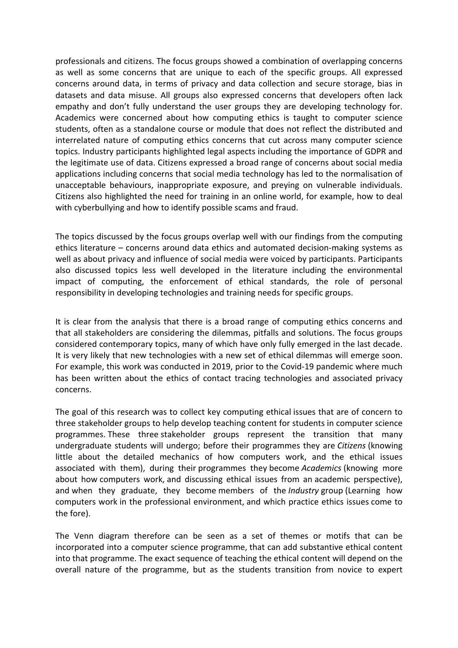professionals and citizens. The focus groups showed a combination of overlapping concerns as well as some concerns that are unique to each of the specific groups. All expressed concerns around data, in terms of privacy and data collection and secure storage, bias in datasets and data misuse. All groups also expressed concerns that developers often lack empathy and don't fully understand the user groups they are developing technology for. Academics were concerned about how computing ethics is taught to computer science students, often as a standalone course or module that does not reflect the distributed and interrelated nature of computing ethics concerns that cut across many computer science topics. Industry participants highlighted legal aspects including the importance of GDPR and the legitimate use of data. Citizens expressed a broad range of concerns about social media applications including concerns that social media technology has led to the normalisation of unacceptable behaviours, inappropriate exposure, and preying on vulnerable individuals. Citizens also highlighted the need for training in an online world, for example, how to deal with cyberbullying and how to identify possible scams and fraud.

The topics discussed by the focus groups overlap well with our findings from the computing ethics literature – concerns around data ethics and automated decision-making systems as well as about privacy and influence of social media were voiced by participants. Participants also discussed topics less well developed in the literature including the environmental impact of computing, the enforcement of ethical standards, the role of personal responsibility in developing technologies and training needs for specific groups.

It is clear from the analysis that there is a broad range of computing ethics concerns and that all stakeholders are considering the dilemmas, pitfalls and solutions. The focus groups considered contemporary topics, many of which have only fully emerged in the last decade. It is very likely that new technologies with a new set of ethical dilemmas will emerge soon. For example, this work was conducted in 2019, prior to the Covid-19 pandemic where much has been written about the ethics of contact tracing technologies and associated privacy concerns.

The goal of this research was to collect key computing ethical issues that are of concern to three stakeholder groups to help develop teaching content for students in computer science programmes. These three stakeholder groups represent the transition that many undergraduate students will undergo; before their programmes they are *Citizens* (knowing little about the detailed mechanics of how computers work, and the ethical issues associated with them), during their programmes they become *Academics* (knowing more about how computers work, and discussing ethical issues from an academic perspective), and when they graduate, they become members of the *Industry* group (Learning how computers work in the professional environment, and which practice ethics issues come to the fore).

The Venn diagram therefore can be seen as a set of themes or motifs that can be incorporated into a computer science programme, that can add substantive ethical content into that programme. The exact sequence of teaching the ethical content will depend on the overall nature of the programme, but as the students transition from novice to expert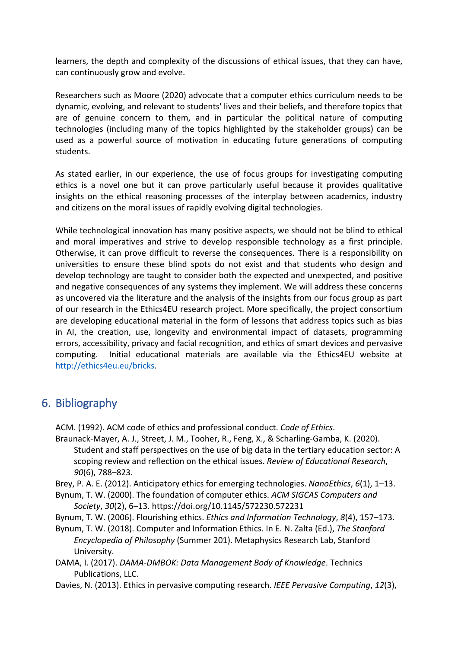learners, the depth and complexity of the discussions of ethical issues, that they can have, can continuously grow and evolve.

Researchers such as Moore (2020) advocate that a computer ethics curriculum needs to be dynamic, evolving, and relevant to students' lives and their beliefs, and therefore topics that are of genuine concern to them, and in particular the political nature of computing technologies (including many of the topics highlighted by the stakeholder groups) can be used as a powerful source of motivation in educating future generations of computing students.

As stated earlier, in our experience, the use of focus groups for investigating computing ethics is a novel one but it can prove particularly useful because it provides qualitative insights on the ethical reasoning processes of the interplay between academics, industry and citizens on the moral issues of rapidly evolving digital technologies.

While technological innovation has many positive aspects, we should not be blind to ethical and moral imperatives and strive to develop responsible technology as a first principle. Otherwise, it can prove difficult to reverse the consequences. There is a responsibility on universities to ensure these blind spots do not exist and that students who design and develop technology are taught to consider both the expected and unexpected, and positive and negative consequences of any systems they implement. We will address these concerns as uncovered via the literature and the analysis of the insights from our focus group as part of our research in the Ethics4EU research project. More specifically, the project consortium are developing educational material in the form of lessons that address topics such as bias in AI, the creation, use, longevity and environmental impact of datasets, programming errors, accessibility, privacy and facial recognition, and ethics of smart devices and pervasive computing. Initial educational materials are available via the Ethics4EU website at http://ethics4eu.eu/bricks.

# 6. Bibliography

ACM. (1992). ACM code of ethics and professional conduct. *Code of Ethics*.

- Braunack-Mayer, A. J., Street, J. M., Tooher, R., Feng, X., & Scharling-Gamba, K. (2020). Student and staff perspectives on the use of big data in the tertiary education sector: A scoping review and reflection on the ethical issues. *Review of Educational Research*, *90*(6), 788–823.
- Brey, P. A. E. (2012). Anticipatory ethics for emerging technologies. *NanoEthics*, *6*(1), 1–13.
- Bynum, T. W. (2000). The foundation of computer ethics. *ACM SIGCAS Computers and Society*, *30*(2), 6–13. https://doi.org/10.1145/572230.572231
- Bynum, T. W. (2006). Flourishing ethics. *Ethics and Information Technology*, *8*(4), 157–173.
- Bynum, T. W. (2018). Computer and Information Ethics. In E. N. Zalta (Ed.), *The Stanford Encyclopedia of Philosophy* (Summer 201). Metaphysics Research Lab, Stanford University.
- DAMA, I. (2017). *DAMA-DMBOK: Data Management Body of Knowledge*. Technics Publications, LLC.

Davies, N. (2013). Ethics in pervasive computing research. *IEEE Pervasive Computing*, *12*(3),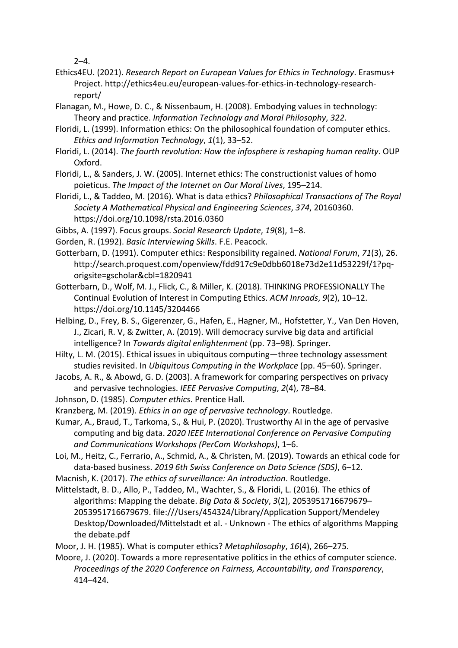$2 - 4$ .

- Ethics4EU. (2021). *Research Report on European Values for Ethics in Technology*. Erasmus+ Project. http://ethics4eu.eu/european-values-for-ethics-in-technology-researchreport/
- Flanagan, M., Howe, D. C., & Nissenbaum, H. (2008). Embodying values in technology: Theory and practice. *Information Technology and Moral Philosophy*, *322*.
- Floridi, L. (1999). Information ethics: On the philosophical foundation of computer ethics. *Ethics and Information Technology*, *1*(1), 33–52.
- Floridi, L. (2014). *The fourth revolution: How the infosphere is reshaping human reality*. OUP Oxford.
- Floridi, L., & Sanders, J. W. (2005). Internet ethics: The constructionist values of homo poieticus. *The Impact of the Internet on Our Moral Lives*, 195–214.
- Floridi, L., & Taddeo, M. (2016). What is data ethics? *Philosophical Transactions of The Royal Society A Mathematical Physical and Engineering Sciences*, *374*, 20160360. https://doi.org/10.1098/rsta.2016.0360
- Gibbs, A. (1997). Focus groups. *Social Research Update*, *19*(8), 1–8.
- Gorden, R. (1992). *Basic Interviewing Skills*. F.E. Peacock.
- Gotterbarn, D. (1991). Computer ethics: Responsibility regained. *National Forum*, *71*(3), 26. http://search.proquest.com/openview/fdd917c9e0dbb6018e73d2e11d53229f/1?pqorigsite=gscholar&cbl=1820941
- Gotterbarn, D., Wolf, M. J., Flick, C., & Miller, K. (2018). THINKING PROFESSIONALLY The Continual Evolution of Interest in Computing Ethics. *ACM Inroads*, *9*(2), 10–12. https://doi.org/10.1145/3204466
- Helbing, D., Frey, B. S., Gigerenzer, G., Hafen, E., Hagner, M., Hofstetter, Y., Van Den Hoven, J., Zicari, R. V, & Zwitter, A. (2019). Will democracy survive big data and artificial intelligence? In *Towards digital enlightenment* (pp. 73–98). Springer.
- Hilty, L. M. (2015). Ethical issues in ubiquitous computing—three technology assessment studies revisited. In *Ubiquitous Computing in the Workplace* (pp. 45–60). Springer.
- Jacobs, A. R., & Abowd, G. D. (2003). A framework for comparing perspectives on privacy and pervasive technologies. *IEEE Pervasive Computing*, *2*(4), 78–84.
- Johnson, D. (1985). *Computer ethics*. Prentice Hall.
- Kranzberg, M. (2019). *Ethics in an age of pervasive technology*. Routledge.
- Kumar, A., Braud, T., Tarkoma, S., & Hui, P. (2020). Trustworthy AI in the age of pervasive computing and big data. *2020 IEEE International Conference on Pervasive Computing and Communications Workshops (PerCom Workshops)*, 1–6.
- Loi, M., Heitz, C., Ferrario, A., Schmid, A., & Christen, M. (2019). Towards an ethical code for data-based business. *2019 6th Swiss Conference on Data Science (SDS)*, 6–12.
- Macnish, K. (2017). *The ethics of surveillance: An introduction*. Routledge.
- Mittelstadt, B. D., Allo, P., Taddeo, M., Wachter, S., & Floridi, L. (2016). The ethics of algorithms: Mapping the debate. *Big Data & Society*, *3*(2), 2053951716679679– 2053951716679679. file:///Users/454324/Library/Application Support/Mendeley Desktop/Downloaded/Mittelstadt et al. - Unknown - The ethics of algorithms Mapping the debate.pdf
- Moor, J. H. (1985). What is computer ethics? *Metaphilosophy*, *16*(4), 266–275.
- Moore, J. (2020). Towards a more representative politics in the ethics of computer science. *Proceedings of the 2020 Conference on Fairness, Accountability, and Transparency*, 414–424.